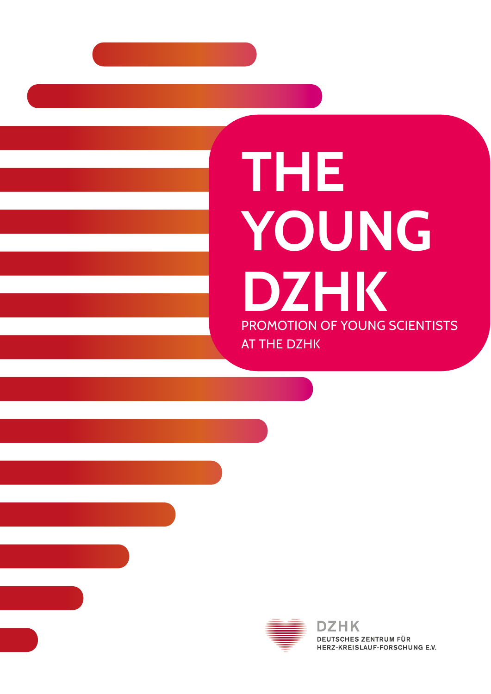# **THE YOUNG DZHK** PROMOTION OF YOUNG SCIENTISTS AT THE DZHK

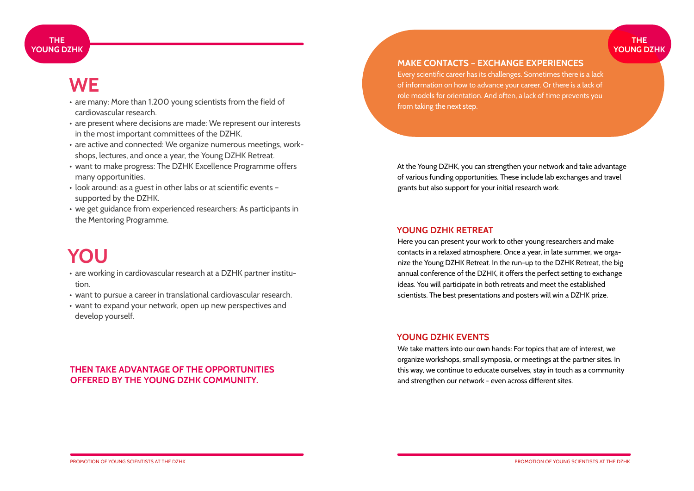#### **THE YOUNG DZHK**

### **WE**

- are many: More than 1,200 young scientists from the field of cardiovascular research.
- are present where decisions are made: We represent our interests in the most important committees of the DZHK.
- are active and connected: We organize numerous meetings, workshops, lectures, and once a year, the Young DZHK Retreat.
- want to make progress: The DZHK Excellence Programme offers many opportunities.
- look around: as a guest in other labs or at scientific events supported by the DZHK.
- we get guidance from experienced researchers: As participants in the Mentoring Programme.

## **YOU**

- are working in cardiovascular research at a DZHK partner institution.
- want to pursue a career in translational cardiovascular research.
- want to expand your network, open up new perspectives and develop yourself.

#### **THEN TAKE ADVANTAGE OF THE OPPORTUNITIES OFFERED BY THE YOUNG DZHK COMMUNITY.**

#### **MAKE CONTACTS – EXCHANGE EXPERIENCES**

Every scientific career has its challenges. Sometimes there is a lack of information on how to advance your career. Or there is a lack of role models for orientation. And often, a lack of time prevents you from taking the next step.

At the Young DZHK, you can strengthen your network and take advantage of various funding opportunities. These include lab exchanges and travel grants but also support for your initial research work.

#### **YOUNG DZHK RETREAT**

Here you can present your work to other young researchers and make contacts in a relaxed atmosphere. Once a year, in late summer, we organize the Young DZHK Retreat. In the run-up to the DZHK Retreat, the big annual conference of the DZHK, it offers the perfect setting to exchange ideas. You will participate in both retreats and meet the established scientists. The best presentations and posters will win a DZHK prize.

#### **YOUNG DZHK EVENTS**

We take matters into our own hands: For topics that are of interest, we organize workshops, small symposia, or meetings at the partner sites. In this way, we continue to educate ourselves, stay in touch as a community and strengthen our network - even across different sites.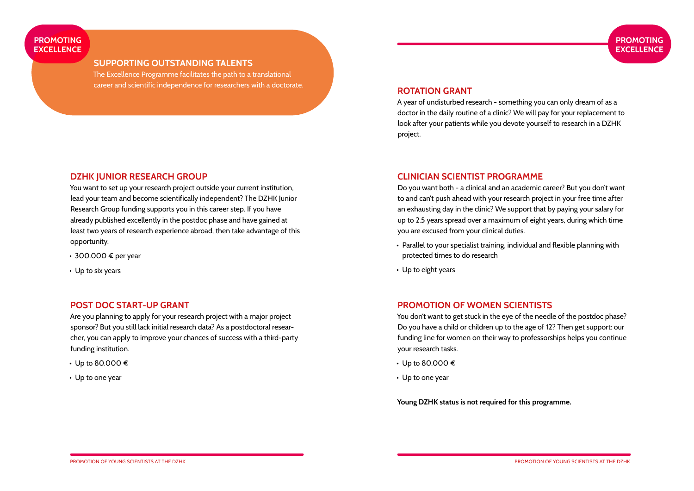#### **PROMOTING EXCELLENCE**

#### **SUPPORTING OUTSTANDING TALENTS**

The Excellence Programme facilitates the path to a translational career and scientific independence for researchers with a doctorate.

### **DZHK JUNIOR RESEARCH GROUP**

You want to set up your research project outside your current institution, lead your team and become scientifically independent? The DZHK Junior Research Group funding supports you in this career step. If you have already published excellently in the postdoc phase and have gained at least two years of research experience abroad, then take advantage of this opportunity.

- 300.000 € per year
- Up to six years

#### **POST DOC START-UP GRANT**

Are you planning to apply for your research project with a major project sponsor? But you still lack initial research data? As a postdoctoral researcher, you can apply to improve your chances of success with a third-party funding institution.

- Up to 80.000 €
- Up to one year

#### **ROTATION GRANT**

A year of undisturbed research - something you can only dream of as a doctor in the daily routine of a clinic? We will pay for your replacement to look after your patients while you devote yourself to research in a DZHK project.

#### **CLINICIAN SCIENTIST PROGRAMME**

Do you want both - a clinical and an academic career? But you don't want to and can't push ahead with your research project in your free time after an exhausting day in the clinic? We support that by paying your salary for up to 2.5 years spread over a maximum of eight years, during which time you are excused from your clinical duties.

- Parallel to your specialist training, individual and flexible planning with protected times to do research
- Up to eight years

#### **PROMOTION OF WOMEN SCIENTISTS**

You don't want to get stuck in the eye of the needle of the postdoc phase? Do you have a child or children up to the age of 12? Then get support: our funding line for women on their way to professorships helps you continue your research tasks.

- Up to 80.000 €
- Up to one year

**Young DZHK status is not required for this programme.**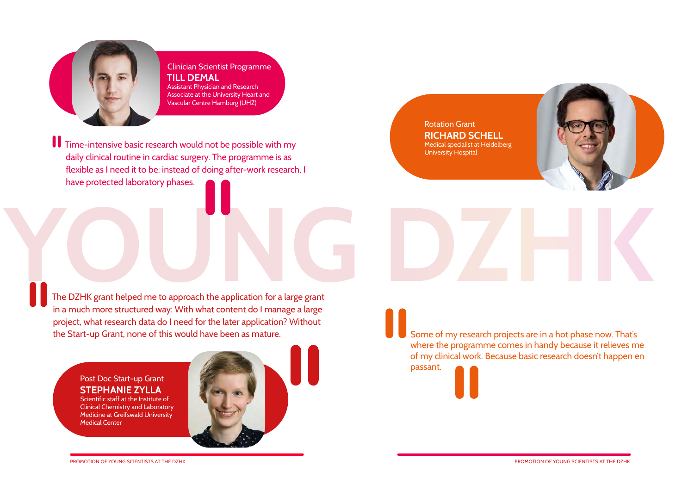

#### Clinician Scientist Programme **TILL DEMAL** Assistant Physician and Research Associate at the University Heart and Vascular Centre Hamburg (UHZ)

Time-intensive basic research would not be possible with my daily clinical routine in cardiac surgery. The programme is as flexible as I need it to be: instead of doing after-work research, I have protected laboratory phases.

Rotation Grant **RICHARD SCHELL** Medical specialist at Heidelberg University Hospital

The DZHK grant helped me to approach the application for a large grant The DZHK grant helped me to approach the application for a large grant in a much more structured way: With what content do I manage a large project, what research data do I need for the later application? Without the Start-up Grant, none of this would have been as mature.

> Post Doc Start-up Grant **STEPHANIE ZYLLA** Scientific staff at the Institute of

Clinical Chemistry and Laboratory Medicine at Greifswald University Medical Center



Some of my research projects are in a hot phase now. That's where the programme comes in handy because it relieves me of my clinical work. Because basic research doesn't happen en

passant.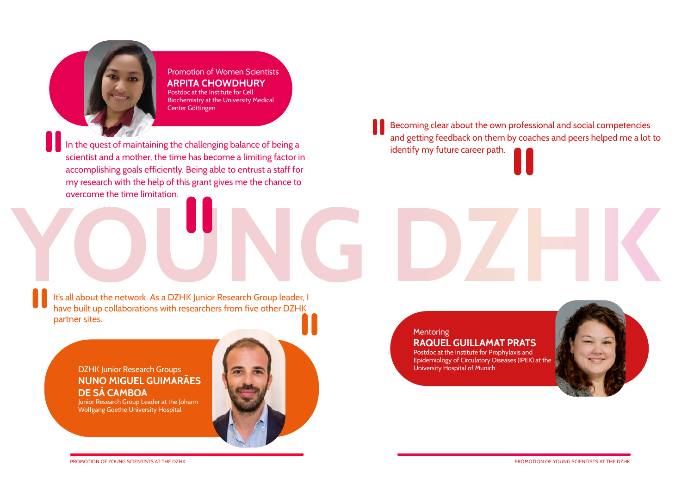

Promotion of Women Scientists **ARPITA CHOWDHURY** Postdoc at the Institute for Cell Biochemistry at the University Medical Center Göttingen

In the quest of maintaining the challenging balance of being a scientist and a mother, the time has become a limiting factor in accomplishing goals efficiently. Being able to entrust a staff for my research with the help of this grant gives me the chance to overcome the time limitation.

Becoming clear about the own professional and social competencies and getting feedback on them by coaches and peers helped me a lot to identify my future career path.

**Y** It's all about the network. As a DZHK Junior Research Group leader, I It's all about the network. As a DZHK Junior Research Group leader, I have built up collaborations with researchers from five other DZHK partner sites.

DZHK Junior Research Groups **NUNO MIGUEL GUIMARÃES DE SÁ CAMBOA**

Junior Research Group Leader at the Johann Wolfgang Goethe University Hospital



#### **Mentoring RAQUEL GUILLAMAT PRATS**

Postdoc at the Institute for Prophylaxis and Epidemiology of Circulatory Diseases (IPEK) at the University Hospital of Munich

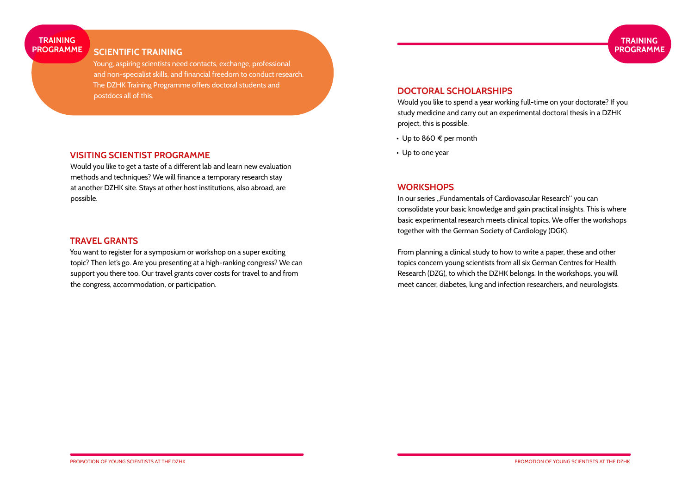#### **TRAINING PROGRAMME**

#### **SCIENTIFIC TRAINING**

Young, aspiring scientists need contacts, exchange, professional and non-specialist skills, and financial freedom to conduct research. The DZHK Training Programme offers doctoral students and postdocs all of this.

#### **VISITING SCIENTIST PROGRAMME**

Would you like to get a taste of a different lab and learn new evaluation methods and techniques? We will finance a temporary research stay at another DZHK site. Stays at other host institutions, also abroad, are possible.

#### **TRAVEL GRANTS**

You want to register for a symposium or workshop on a super exciting topic? Then let's go. Are you presenting at a high-ranking congress? We can support you there too. Our travel grants cover costs for travel to and from the congress, accommodation, or participation.

#### **DOCTORAL SCHOLARSHIPS**

Would you like to spend a year working full-time on your doctorate? If you study medicine and carry out an experimental doctoral thesis in a DZHK project, this is possible.

- Up to 860  $\epsilon$  per month
- Up to one year

### **WORKSHOPS**

In our series "Fundamentals of Cardiovascular Research" you can consolidate your basic knowledge and gain practical insights. This is where basic experimental research meets clinical topics. We offer the workshops together with the German Society of Cardiology (DGK).

From planning a clinical study to how to write a paper, these and other topics concern young scientists from all six German Centres for Health Research (DZG), to which the DZHK belongs. In the workshops, you will meet cancer, diabetes, lung and infection researchers, and neurologists.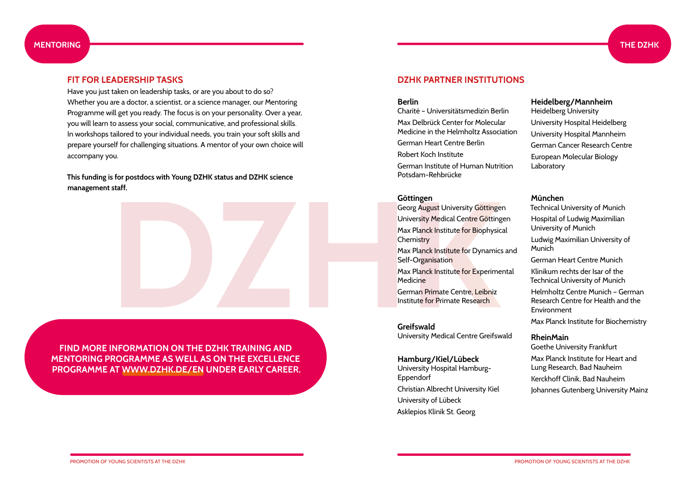#### **MENTORING THE DZHK**

Have you just taken on leadership tasks, or are you about to do so? Whether you are a doctor, a scientist, or a science manager, our Mentoring Programme will get you ready. The focus is on your personality. Over a year, you will learn to assess your social, communicative, and professional skills. In workshops tailored to your individual needs, you train your soft skills and prepare yourself for challenging situations. A mentor of your own choice will accompany you.

**This funding is for postdocs with Young DZHK status and DZHK science management staff.**



**FIND MORE INFORMATION ON THE DZHK TRAINING AND MENTORING PROGRAMME AS WELL AS ON THE EXCELLENCE PROGRAMME AT [WWW.DZHK.DE](http://www.dzhk.de/en)/EN UNDER EARLY CAREER.**

#### **FIT FOR LEADERSHIP TASKS DZHK PARTNER INSTITUTIONS**

#### **Berlin**

Charité – Universitätsmedizin Berlin

Max Delbrück Center for Molecular Medicine in the Helmholtz Association

German Heart Centre Berlin Robert Koch Institute

German Institute of Human Nutrition Potsdam-Rehbrücke

#### **Göttingen**

Georg August University Göttingen University Medical Centre Göttingen Max Planck Institute for Biophysical **Chemistry** Max Planck Institute for Dynamics and Self-Organisation Max Planck Institute for Experimental Medicine German Primate Centre, Leibniz Institute for Primate Research

**Greifswald**  University Medical Centre Greifswald

**Hamburg/Kiel/Lübeck** University Hospital Hamburg-Eppendorf Christian Albrecht University Kiel University of Lübeck Asklepios Klinik St. Georg

#### **Heidelberg/Mannheim**

Heidelberg University University Hospital Heidelberg University Hospital Mannheim German Cancer Research Centre European Molecular Biology Laboratory

#### **München**

Technical University of Munich

Hospital of Ludwig Maximilian University of Munich

Ludwig Maximilian University of Munich

German Heart Centre Munich Klinikum rechts der Isar of the

Technical University of Munich Helmholtz Centre Munich – German

Research Centre for Health and the Environment

Max Planck Institute for Biochemistry

#### **RheinMain**

Goethe University Frankfurt Max Planck Institute for Heart and Lung Research, Bad Nauheim Kerckhoff Clinik, Bad Nauheim Johannes Gutenberg University Mainz